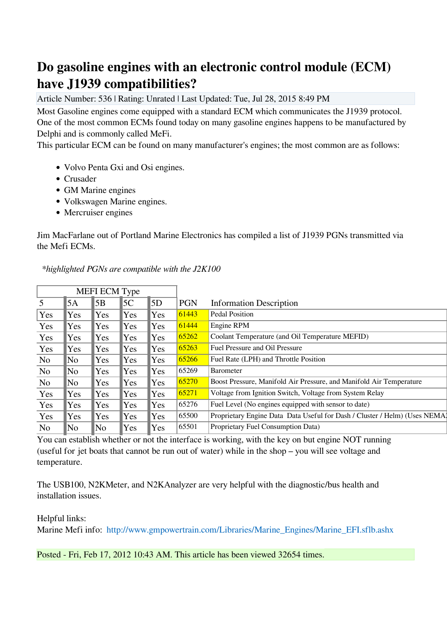## **Do gasoline engines with an electronic control module (ECM) have J1939 compatibilities?**

Article Number: 536 | Rating: Unrated | Last Updated: Tue, Jul 28, 2015 8:49 PM

Most Gasoline engines come equipped with a standard ECM which communicates the J1939 protocol. One of the most common ECMs found today on many gasoline engines happens to be manufactured by Delphi and is commonly called MeFi.

This particular ECM can be found on many manufacturer's engines; the most common are as follows:

- Volvo Penta Gxi and Osi engines.
- Crusader
- GM Marine engines
- Volkswagen Marine engines.
- Mercruiser engines

Jim MacFarlane out of Portland Marine Electronics has compiled a list of J1939 PGNs transmitted via the Mefi ECMs.

| MEFI ECM Type  |     |     |     |            |            |                                                                            |
|----------------|-----|-----|-----|------------|------------|----------------------------------------------------------------------------|
| 5              | 5A  | 5B  | 5C  | 5D         | <b>PGN</b> | <b>Information Description</b>                                             |
| Yes            | Yes | Yes | Yes | <b>Yes</b> | 61443      | Pedal Position                                                             |
| Yes            | Yes | Yes | Yes | Yes        | 61444      | Engine RPM                                                                 |
| Yes            | Yes | Yes | Yes | Yes        | 65262      | Coolant Temperature (and Oil Temperature MEFID)                            |
| Yes            | Yes | Yes | Yes | <b>Yes</b> | 65263      | <b>Fuel Pressure and Oil Pressure</b>                                      |
| N <sub>0</sub> | No  | Yes | Yes | Yes        | 65266      | Fuel Rate (LPH) and Throttle Position                                      |
| N <sub>0</sub> | No  | Yes | Yes | Yes        | 65269      | <b>Barometer</b>                                                           |
| N <sub>0</sub> | No  | Yes | Yes | Yes        | 65270      | Boost Pressure, Manifold Air Pressure, and Manifold Air Temperature        |
| Yes            | Yes | Yes | Yes | Yes        | 65271      | Voltage from Ignition Switch, Voltage from System Relay                    |
| Yes            | Yes | Yes | Yes | Yes        | 65276      | Fuel Level (No engines equipped with sensor to date)                       |
| Yes            | Yes | Yes | Yes | Yes        | 65500      | Proprietary Engine Data Data Useful for Dash / Cluster / Helm) (Uses NEMA1 |
| N <sub>0</sub> | No  | No. | Yes | Yes        | 65501      | Proprietary Fuel Consumption Data)                                         |

 *\*highlighted PGNs are compatible with the J2K100* 

You can establish whether or not the interface is working, with the key on but engine NOT running (useful for jet boats that cannot be run out of water) while in the shop – you will see voltage and temperature.

The USB100, N2KMeter, and N2KAnalyzer are very helpful with the diagnostic/bus health and installation issues.

Helpful links:

Marine Mefi info: [http://www.gmpowertrain.com/Libraries/Marine\\_Engines/Marine\\_EFI.sflb.ashx](http://www.gmpowertrain.com/Libraries/Marine_Engines/Marine_EFI.sflb.ashx) 

Posted - Fri, Feb 17, 2012 10:43 AM. This article has been viewed 32654 times.